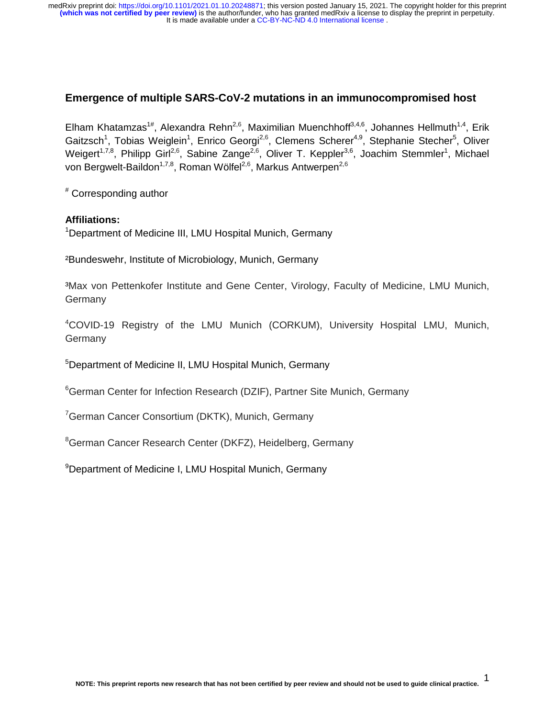## **Emergence of multiple SARS-CoV-2 mutations in an immunocompromised host**

Elham Khatamzas<sup>1#</sup>, Alexandra Rehn<sup>2,6</sup>, Maximilian Muenchhoff<sup>3,4,6</sup>, Johannes Hellmuth<sup>1,4</sup>, Erik Gaitzsch<sup>1</sup>, Tobias Weiglein<sup>1</sup>, Enrico Georgi<sup>2,6</sup>, Clemens Scherer<sup>4,9</sup>, Stephanie Stecher<sup>5</sup>, Oliver Weigert<sup>1,7,8</sup>, Philipp Girl<sup>2,6</sup>, Sabine Zange<sup>2,6</sup>, Oliver T. Keppler<sup>3,6</sup>, Joachim Stemmler<sup>1</sup>, Michael von Bergwelt-Baildon<sup>1,7,8</sup>, Roman Wölfel<sup>2,6</sup>, Markus Antwerpen<sup>2,6</sup>

# Corresponding author

### **Affiliations:**

<sup>1</sup>Department of Medicine III, LMU Hospital Munich, Germany

²Bundeswehr, Institute of Microbiology, Munich, Germany

³Max von Pettenkofer Institute and Gene Center, Virology, Faculty of Medicine, LMU Munich, Germany

4 COVID-19 Registry of the LMU Munich (CORKUM), University Hospital LMU, Munich, Germany

5 Department of Medicine II, LMU Hospital Munich, Germany

<sup>6</sup>German Center for Infection Research (DZIF), Partner Site Munich, Germany

<sup>7</sup>German Cancer Consortium (DKTK), Munich, Germany

<sup>8</sup>German Cancer Research Center (DKFZ), Heidelberg, Germany

<sup>9</sup>Department of Medicine I, LMU Hospital Munich, Germany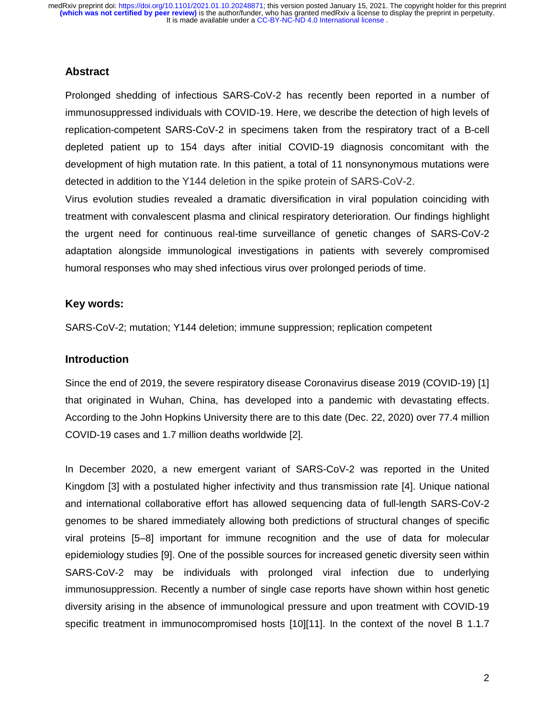## **Abstract**

Prolonged shedding of infectious SARS-CoV-2 has recently been reported in a number of immunosuppressed individuals with COVID-19. Here, we describe the detection of high levels of replication-competent SARS-CoV-2 in specimens taken from the respiratory tract of a B-cell depleted patient up to 154 days after initial COVID-19 diagnosis concomitant with the development of high mutation rate. In this patient, a total of 11 nonsynonymous mutations were detected in addition to the Y144 deletion in the spike protein of SARS-CoV-2.

Virus evolution studies revealed a dramatic diversification in viral population coinciding with treatment with convalescent plasma and clinical respiratory deterioration. Our findings highlight the urgent need for continuous real-time surveillance of genetic changes of SARS-CoV-2 adaptation alongside immunological investigations in patients with severely compromised humoral responses who may shed infectious virus over prolonged periods of time.

### **Key words:**

SARS-CoV-2; mutation; Y144 deletion; immune suppression; replication competent

## **Introduction**

Since the end of 2019, the severe respiratory disease Coronavirus disease 2019 (COVID-19) [1] that originated in Wuhan, China, has developed into a pandemic with devastating effects. According to the John Hopkins University there are to this date (Dec. 22, 2020) over 77.4 million COVID-19 cases and 1.7 million deaths worldwide [2].

In December 2020, a new emergent variant of SARS-CoV-2 was reported in the United Kingdom [3] with a postulated higher infectivity and thus transmission rate [4]. Unique national and international collaborative effort has allowed sequencing data of full-length SARS-CoV-2 genomes to be shared immediately allowing both predictions of structural changes of specific viral proteins [5–8] important for immune recognition and the use of data for molecular epidemiology studies [9]. One of the possible sources for increased genetic diversity seen within SARS-CoV-2 may be individuals with prolonged viral infection due to underlying immunosuppression. Recently a number of single case reports have shown within host genetic diversity arising in the absence of immunological pressure and upon treatment with COVID-19 specific treatment in immunocompromised hosts [10][11]. In the context of the novel B 1.1.7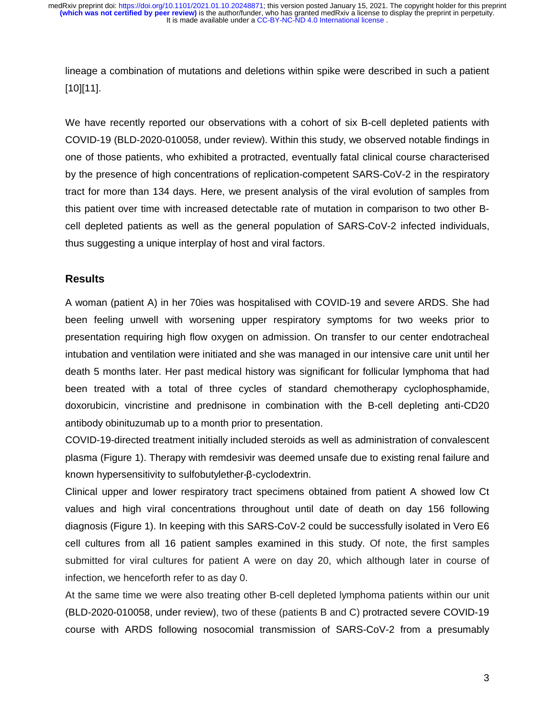lineage a combination of mutations and deletions within spike were described in such a patient [10][11].

We have recently reported our observations with a cohort of six B-cell depleted patients with COVID-19 (BLD-2020-010058, under review). Within this study, we observed notable findings in one of those patients, who exhibited a protracted, eventually fatal clinical course characterised by the presence of high concentrations of replication-competent SARS-CoV-2 in the respiratory tract for more than 134 days. Here, we present analysis of the viral evolution of samples from this patient over time with increased detectable rate of mutation in comparison to two other Bcell depleted patients as well as the general population of SARS-CoV-2 infected individuals, thus suggesting a unique interplay of host and viral factors.

#### **Results**

A woman (patient A) in her 70ies was hospitalised with COVID-19 and severe ARDS. She had been feeling unwell with worsening upper respiratory symptoms for two weeks prior to presentation requiring high flow oxygen on admission. On transfer to our center endotracheal intubation and ventilation were initiated and she was managed in our intensive care unit until her death 5 months later. Her past medical history was significant for follicular lymphoma that had been treated with a total of three cycles of standard chemotherapy cyclophosphamide, doxorubicin, vincristine and prednisone in combination with the B-cell depleting anti-CD20 antibody obinituzumab up to a month prior to presentation.

COVID-19-directed treatment initially included steroids as well as administration of convalescent plasma (Figure 1). Therapy with remdesivir was deemed unsafe due to existing renal failure and known hypersensitivity to sulfobutylether-β-cyclodextrin.

Clinical upper and lower respiratory tract specimens obtained from patient A showed low Ct values and high viral concentrations throughout until date of death on day 156 following diagnosis (Figure 1). In keeping with this SARS-CoV-2 could be successfully isolated in Vero E6 cell cultures from all 16 patient samples examined in this study. Of note, the first samples submitted for viral cultures for patient A were on day 20, which although later in course of infection, we henceforth refer to as day 0.

At the same time we were also treating other B-cell depleted lymphoma patients within our unit (BLD-2020-010058, under review), two of these (patients B and C) protracted severe COVID-19 course with ARDS following nosocomial transmission of SARS-CoV-2 from a presumably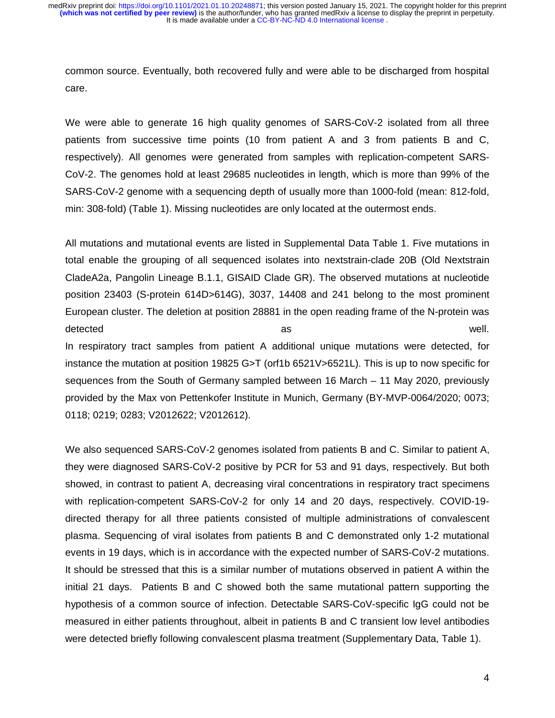common source. Eventually, both recovered fully and were able to be discharged from hospital care.

We were able to generate 16 high quality genomes of SARS-CoV-2 isolated from all three patients from successive time points (10 from patient A and 3 from patients B and C, respectively). All genomes were generated from samples with replication-competent SARS-CoV-2. The genomes hold at least 29685 nucleotides in length, which is more than 99% of the SARS-CoV-2 genome with a sequencing depth of usually more than 1000-fold (mean: 812-fold, min: 308-fold) (Table 1). Missing nucleotides are only located at the outermost ends.

All mutations and mutational events are listed in Supplemental Data Table 1. Five mutations in total enable the grouping of all sequenced isolates into nextstrain-clade 20B (Old Nextstrain CladeA2a, Pangolin Lineage B.1.1, GISAID Clade GR). The observed mutations at nucleotide position 23403 (S-protein 614D>614G), 3037, 14408 and 241 belong to the most prominent European cluster. The deletion at position 28881 in the open reading frame of the N-protein was detected well. In respiratory tract samples from patient A additional unique mutations were detected, for instance the mutation at position 19825 G>T (orf1b 6521V>6521L). This is up to now specific for sequences from the South of Germany sampled between 16 March – 11 May 2020, previously provided by the Max von Pettenkofer Institute in Munich, Germany (BY-MVP-0064/2020; 0073; 0118; 0219; 0283; V2012622; V2012612).

We also sequenced SARS-CoV-2 genomes isolated from patients B and C. Similar to patient A, they were diagnosed SARS-CoV-2 positive by PCR for 53 and 91 days, respectively. But both showed, in contrast to patient A, decreasing viral concentrations in respiratory tract specimens with replication-competent SARS-CoV-2 for only 14 and 20 days, respectively. COVID-19 directed therapy for all three patients consisted of multiple administrations of convalescent plasma. Sequencing of viral isolates from patients B and C demonstrated only 1-2 mutational events in 19 days, which is in accordance with the expected number of SARS-CoV-2 mutations. It should be stressed that this is a similar number of mutations observed in patient A within the initial 21 days. Patients B and C showed both the same mutational pattern supporting the hypothesis of a common source of infection. Detectable SARS-CoV-specific IgG could not be measured in either patients throughout, albeit in patients B and C transient low level antibodies were detected briefly following convalescent plasma treatment (Supplementary Data, Table 1).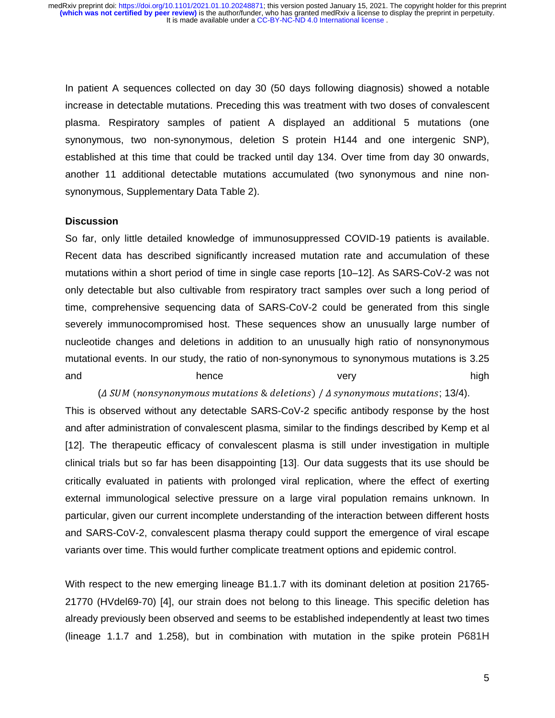In patient A sequences collected on day 30 (50 days following diagnosis) showed a notable increase in detectable mutations. Preceding this was treatment with two doses of convalescent plasma. Respiratory samples of patient A displayed an additional 5 mutations (one synonymous, two non-synonymous, deletion S protein H144 and one intergenic SNP), established at this time that could be tracked until day 134. Over time from day 30 onwards, another 11 additional detectable mutations accumulated (two synonymous and nine nonsynonymous, Supplementary Data Table 2).

#### **Discussion**

So far, only little detailed knowledge of immunosuppressed COVID-19 patients is available. Recent data has described significantly increased mutation rate and accumulation of these mutations within a short period of time in single case reports [10–12]. As SARS-CoV-2 was not only detectable but also cultivable from respiratory tract samples over such a long period of time, comprehensive sequencing data of SARS-CoV-2 could be generated from this single severely immunocompromised host. These sequences show an unusually large number of nucleotide changes and deletions in addition to an unusually high ratio of nonsynonymous mutational events. In our study, the ratio of non-synonymous to synonymous mutations is 3.25 and hence hence very very high

(A SUM (nonsynonymous mutations & deletions) / A synonymous mutations; 13/4).

This is observed without any detectable SARS-CoV-2 specific antibody response by the host and after administration of convalescent plasma, similar to the findings described by Kemp et al [12]. The therapeutic efficacy of convalescent plasma is still under investigation in multiple clinical trials but so far has been disappointing [13]. Our data suggests that its use should be critically evaluated in patients with prolonged viral replication, where the effect of exerting external immunological selective pressure on a large viral population remains unknown. In particular, given our current incomplete understanding of the interaction between different hosts and SARS-CoV-2, convalescent plasma therapy could support the emergence of viral escape variants over time. This would further complicate treatment options and epidemic control.

With respect to the new emerging lineage B1.1.7 with its dominant deletion at position 21765- 21770 (HVdel69-70) [4], our strain does not belong to this lineage. This specific deletion has already previously been observed and seems to be established independently at least two times (lineage 1.1.7 and 1.258), but in combination with mutation in the spike protein P681H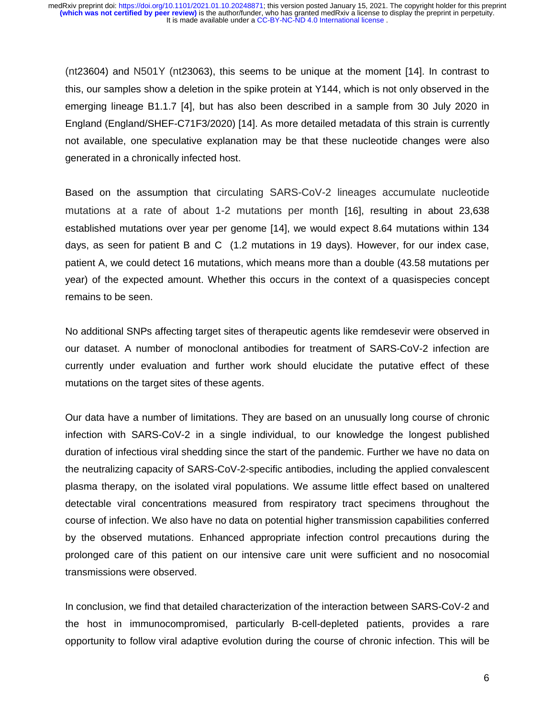(nt23604) and N501Y (nt23063), this seems to be unique at the moment [14]. In contrast to this, our samples show a deletion in the spike protein at Y144, which is not only observed in the emerging lineage B1.1.7 [4], but has also been described in a sample from 30 July 2020 in England (England/SHEF-C71F3/2020) [14]. As more detailed metadata of this strain is currently not available, one speculative explanation may be that these nucleotide changes were also generated in a chronically infected host.

Based on the assumption that circulating SARS-CoV-2 lineages accumulate nucleotide mutations at a rate of about 1-2 mutations per month [16], resulting in about 23,638 established mutations over year per genome [14], we would expect 8.64 mutations within 134 days, as seen for patient B and C (1.2 mutations in 19 days). However, for our index case, patient A, we could detect 16 mutations, which means more than a double (43.58 mutations per year) of the expected amount. Whether this occurs in the context of a quasispecies concept remains to be seen.

No additional SNPs affecting target sites of therapeutic agents like remdesevir were observed in our dataset. A number of monoclonal antibodies for treatment of SARS-CoV-2 infection are currently under evaluation and further work should elucidate the putative effect of these mutations on the target sites of these agents.

Our data have a number of limitations. They are based on an unusually long course of chronic infection with SARS-CoV-2 in a single individual, to our knowledge the longest published duration of infectious viral shedding since the start of the pandemic. Further we have no data on the neutralizing capacity of SARS-CoV-2-specific antibodies, including the applied convalescent plasma therapy, on the isolated viral populations. We assume little effect based on unaltered detectable viral concentrations measured from respiratory tract specimens throughout the course of infection. We also have no data on potential higher transmission capabilities conferred by the observed mutations. Enhanced appropriate infection control precautions during the prolonged care of this patient on our intensive care unit were sufficient and no nosocomial transmissions were observed.

In conclusion, we find that detailed characterization of the interaction between SARS-CoV-2 and the host in immunocompromised, particularly B-cell-depleted patients, provides a rare opportunity to follow viral adaptive evolution during the course of chronic infection. This will be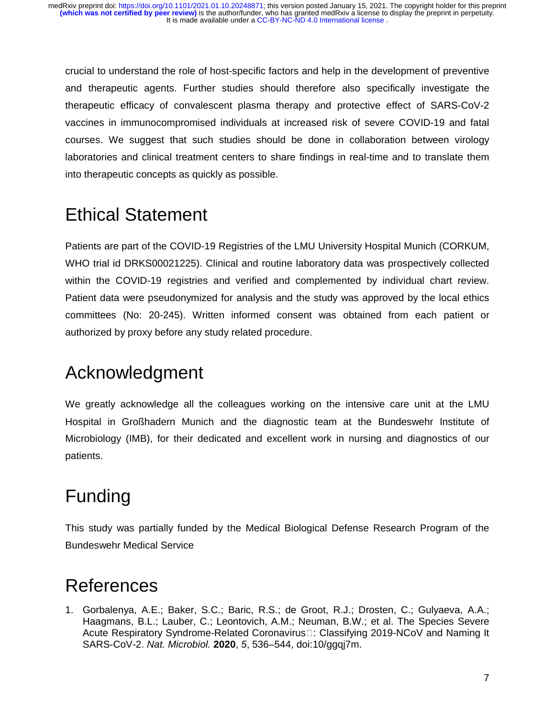crucial to understand the role of host-specific factors and help in the development of preventive and therapeutic agents. Further studies should therefore also specifically investigate the therapeutic efficacy of convalescent plasma therapy and protective effect of SARS-CoV-2 vaccines in immunocompromised individuals at increased risk of severe COVID-19 and fatal courses. We suggest that such studies should be done in collaboration between virology laboratories and clinical treatment centers to share findings in real-time and to translate them into therapeutic concepts as quickly as possible.

# Ethical Statement

Patients are part of the COVID-19 Registries of the LMU University Hospital Munich (CORKUM, WHO trial id DRKS00021225). Clinical and routine laboratory data was prospectively collected within the COVID-19 registries and verified and complemented by individual chart review. Patient data were pseudonymized for analysis and the study was approved by the local ethics committees (No: 20-245). Written informed consent was obtained from each patient or authorized by proxy before any study related procedure.

## Acknowledgment

We greatly acknowledge all the colleagues working on the intensive care unit at the LMU Hospital in Großhadern Munich and the diagnostic team at the Bundeswehr Institute of Microbiology (IMB), for their dedicated and excellent work in nursing and diagnostics of our patients.

## Funding

This study was partially funded by the Medical Biological Defense Research Program of the Bundeswehr Medical Service

## References

1. Gorbalenya, A.E.; Baker, S.C.; Baric, R.S.; de Groot, R.J.; Drosten, C.; Gulyaeva, A.A.; Haagmans, B.L.; Lauber, C.; Leontovich, A.M.; Neuman, B.W.; et al. The Species Severe Acute Respiratory Syndrome-Related Coronavirus□: Classifying 2019-NCoV and Naming It<br>SARS CoV 2, Not Microbiol 2020, 5, 536, 544, doi:10/gagi7m SARS-CoV-2. *Nat. Microbiol.* **2020**, *5*, 536–544, doi:10/ggqj7m.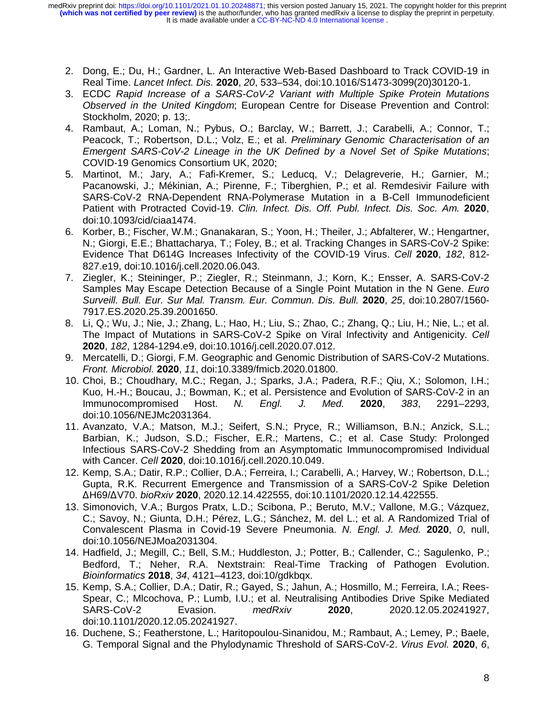It is made available under a [CC-BY-NC-ND 4.0 International license](http://creativecommons.org/licenses/by-nc-nd/4.0/) . **(which was not certified by peer review)** is the author/funder, who has granted medRxiv a license to display the preprint in perpetuity. medRxiv preprint doi: [https://doi.org/10.1101/2021.01.10.20248871;](https://doi.org/10.1101/2021.01.10.20248871) this version posted January 15, 2021. The copyright holder for this preprint

- 2. Dong, E.; Du, H.; Gardner, L. An Interactive Web-Based Dashboard to Track COVID-19 in Real Time. *Lancet Infect. Dis.* **2020**, *20*, 533–534, doi:10.1016/S1473-3099(20)30120-1.
- 3. ECDC *Rapid Increase of a SARS-CoV-2 Variant with Multiple Spike Protein Mutations Observed in the United Kingdom*; European Centre for Disease Prevention and Control: Stockholm, 2020; p. 13;.
- 4. Rambaut, A.; Loman, N.; Pybus, O.; Barclay, W.; Barrett, J.; Carabelli, A.; Connor, T.; Peacock, T.; Robertson, D.L.; Volz, E.; et al. *Preliminary Genomic Characterisation of an Emergent SARS-CoV-2 Lineage in the UK Defined by a Novel Set of Spike Mutations*; COVID-19 Genomics Consortium UK, 2020;
- 5. Martinot, M.; Jary, A.; Fafi-Kremer, S.; Leducq, V.; Delagreverie, H.; Garnier, M.; Pacanowski, J.; Mékinian, A.; Pirenne, F.; Tiberghien, P.; et al. Remdesivir Failure with SARS-CoV-2 RNA-Dependent RNA-Polymerase Mutation in a B-Cell Immunodeficient Patient with Protracted Covid-19. *Clin. Infect. Dis. Off. Publ. Infect. Dis. Soc. Am.* **2020**, doi:10.1093/cid/ciaa1474.
- 6. Korber, B.; Fischer, W.M.; Gnanakaran, S.; Yoon, H.; Theiler, J.; Abfalterer, W.; Hengartner, N.; Giorgi, E.E.; Bhattacharya, T.; Foley, B.; et al. Tracking Changes in SARS-CoV-2 Spike: Evidence That D614G Increases Infectivity of the COVID-19 Virus. *Cell* **2020**, *182*, 812- 827.e19, doi:10.1016/j.cell.2020.06.043.
- 7. Ziegler, K.; Steininger, P.; Ziegler, R.; Steinmann, J.; Korn, K.; Ensser, A. SARS-CoV-2 Samples May Escape Detection Because of a Single Point Mutation in the N Gene. *Euro Surveill. Bull. Eur. Sur Mal. Transm. Eur. Commun. Dis. Bull.* **2020**, *25*, doi:10.2807/1560- 7917.ES.2020.25.39.2001650.
- 8. Li, Q.; Wu, J.; Nie, J.; Zhang, L.; Hao, H.; Liu, S.; Zhao, C.; Zhang, Q.; Liu, H.; Nie, L.; et al. The Impact of Mutations in SARS-CoV-2 Spike on Viral Infectivity and Antigenicity. *Cell*  **2020**, *182*, 1284-1294.e9, doi:10.1016/j.cell.2020.07.012.
- 9. Mercatelli, D.; Giorgi, F.M. Geographic and Genomic Distribution of SARS-CoV-2 Mutations. *Front. Microbiol.* **2020**, *11*, doi:10.3389/fmicb.2020.01800.
- 10. Choi, B.; Choudhary, M.C.; Regan, J.; Sparks, J.A.; Padera, R.F.; Qiu, X.; Solomon, I.H.; Kuo, H.-H.; Boucau, J.; Bowman, K.; et al. Persistence and Evolution of SARS-CoV-2 in an Immunocompromised Host. *N. Engl. J. Med.* **2020**, *383*, 2291–2293, doi:10.1056/NEJMc2031364.
- 11. Avanzato, V.A.; Matson, M.J.; Seifert, S.N.; Pryce, R.; Williamson, B.N.; Anzick, S.L.; Barbian, K.; Judson, S.D.; Fischer, E.R.; Martens, C.; et al. Case Study: Prolonged Infectious SARS-CoV-2 Shedding from an Asymptomatic Immunocompromised Individual with Cancer. *Cell* **2020**, doi:10.1016/j.cell.2020.10.049.
- 12. Kemp, S.A.; Datir, R.P.; Collier, D.A.; Ferreira, I.; Carabelli, A.; Harvey, W.; Robertson, D.L.; Gupta, R.K. Recurrent Emergence and Transmission of a SARS-CoV-2 Spike Deletion <sup>Δ</sup>H69/ΔV70. *bioRxiv* **2020**, 2020.12.14.422555, doi:10.1101/2020.12.14.422555.
- 13. Simonovich, V.A.; Burgos Pratx, L.D.; Scibona, P.; Beruto, M.V.; Vallone, M.G.; Vázquez, C.; Savoy, N.; Giunta, D.H.; Pérez, L.G.; Sánchez, M. del L.; et al. A Randomized Trial of Convalescent Plasma in Covid-19 Severe Pneumonia. *N. Engl. J. Med.* **2020**, *0*, null, doi:10.1056/NEJMoa2031304.
- 14. Hadfield, J.; Megill, C.; Bell, S.M.; Huddleston, J.; Potter, B.; Callender, C.; Sagulenko, P.; Bedford, T.; Neher, R.A. Nextstrain: Real-Time Tracking of Pathogen Evolution. *Bioinformatics* **2018**, *34*, 4121–4123, doi:10/gdkbqx.
- 15. Kemp, S.A.; Collier, D.A.; Datir, R.; Gayed, S.; Jahun, A.; Hosmillo, M.; Ferreira, I.A.; Rees-Spear, C.; Mlcochova, P.; Lumb, I.U.; et al. Neutralising Antibodies Drive Spike Mediated SARS-CoV-2 Evasion. *medRxiv* **2020**, 2020.12.05.20241927, doi:10.1101/2020.12.05.20241927.
- 16. Duchene, S.; Featherstone, L.; Haritopoulou-Sinanidou, M.; Rambaut, A.; Lemey, P.; Baele, G. Temporal Signal and the Phylodynamic Threshold of SARS-CoV-2. *Virus Evol.* **2020**, *6*,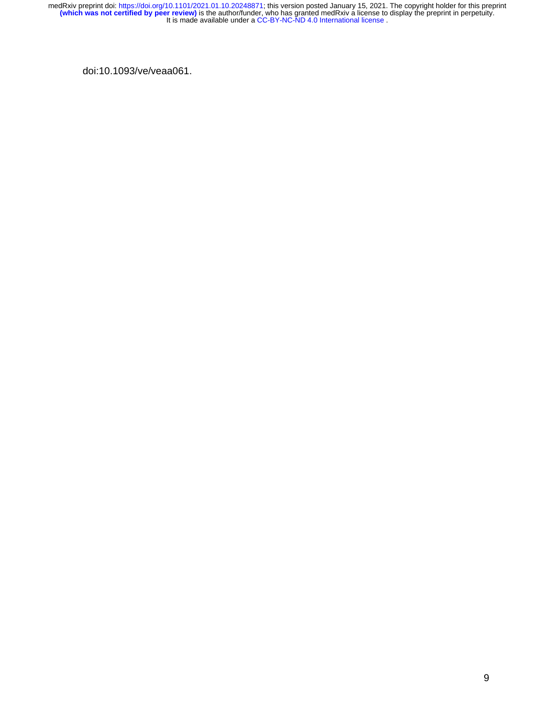doi:10.1093/ve/veaa061.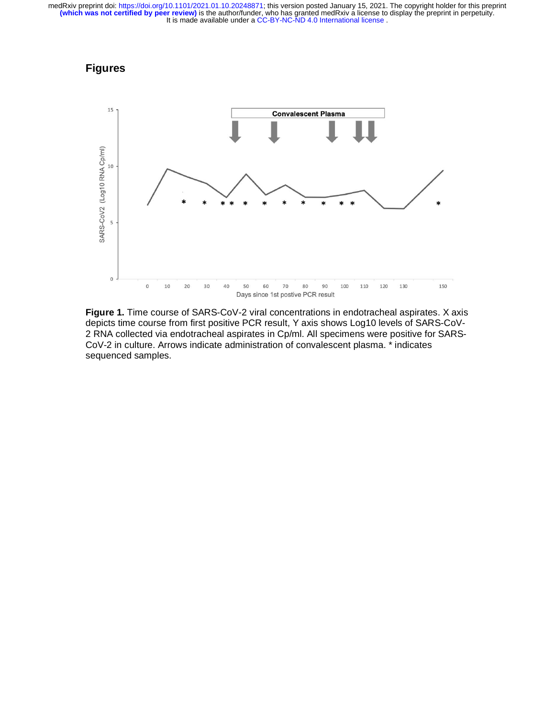## **Figures**



**Figure 1.** Time course of SARS-CoV-2 viral concentrations in endotracheal aspirates. X axis depicts time course from first positive PCR result, Y axis shows Log10 levels of SARS-CoV-2 RNA collected via endotracheal aspirates in Cp/ml. All specimens were positive for SARS-CoV-2 in culture. Arrows indicate administration of convalescent plasma. \* indicates sequenced samples.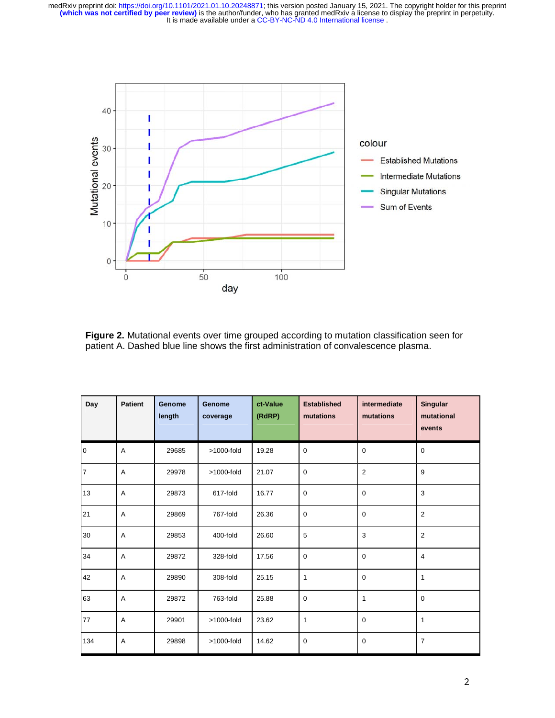

**Figure 2.** Mutational events over time grouped according to mutation classification seen for patient A. Dashed blue line shows the first administration of convalescence plasma.

| Day            | <b>Patient</b> | Genome<br>length | <b>Genome</b><br>coverage | ct-Value<br>(RdRP) | <b>Established</b><br>mutations | intermediate<br>mutations | Singular<br>mutational<br>events |
|----------------|----------------|------------------|---------------------------|--------------------|---------------------------------|---------------------------|----------------------------------|
| $\overline{0}$ | A              | 29685            | $>1000$ -fold             | 19.28              | $\mathbf 0$                     | $\mathbf 0$               | $\mathbf 0$                      |
| $\overline{7}$ | A              | 29978            | >1000-fold                | 21.07              | $\mathbf 0$                     | $\overline{2}$            | 9                                |
| 13             | A              | 29873            | 617-fold                  | 16.77              | $\mathbf 0$                     | $\mathbf 0$               | 3                                |
| 21             | A              | 29869            | 767-fold                  | 26.36              | $\mathbf 0$                     | $\Omega$                  | $\overline{2}$                   |
| 30             | Α              | 29853            | 400-fold                  | 26.60              | 5                               | 3                         | $\overline{2}$                   |
| 34             | A              | 29872            | 328-fold                  | 17.56              | $\mathbf 0$                     | $\Omega$                  | $\overline{4}$                   |
| 42             | A              | 29890            | 308-fold                  | 25.15              | 1                               | $\mathbf 0$               | 1                                |
| 63             | Α              | 29872            | 763-fold                  | 25.88              | $\mathbf 0$                     | 1                         | $\mathbf 0$                      |
| 77             | A              | 29901            | >1000-fold                | 23.62              | $\mathbf{1}$                    | $\mathbf 0$               | $\mathbf{1}$                     |
| 134            | A              | 29898            | $>1000$ -fold             | 14.62              | $\mathbf 0$                     | $\mathbf 0$               | $\overline{7}$                   |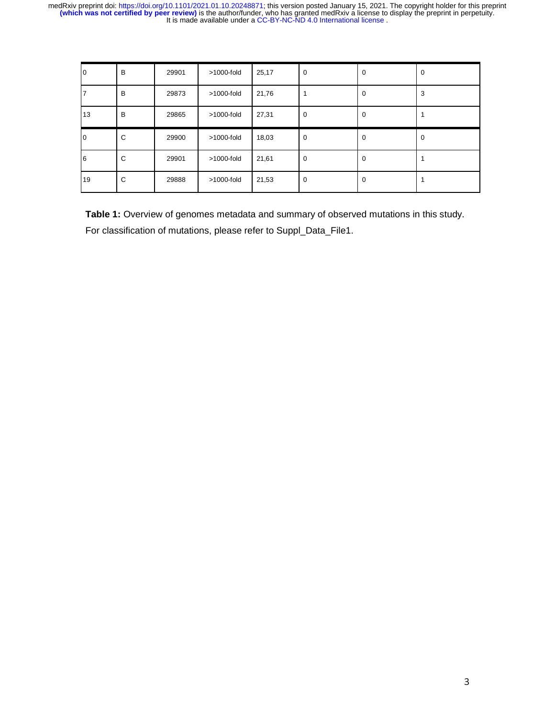| 10 | B | 29901 | >1000-fold    | 25,17 | 0           | $\mathbf 0$ | 0 |
|----|---|-------|---------------|-------|-------------|-------------|---|
|    | B | 29873 | $>1000$ -fold | 21,76 |             | $\Omega$    | 3 |
| 13 | B | 29865 | $>1000$ -fold | 27,31 | 0           | $\mathbf 0$ |   |
| 10 | C | 29900 | >1000-fold    | 18,03 | $\mathbf 0$ | 0           | 0 |
|    |   |       |               |       |             |             |   |
| 6  | C | 29901 | >1000-fold    | 21,61 | $\mathbf 0$ | 0           |   |

**Table 1:** Overview of genomes metadata and summary of observed mutations in this study. For classification of mutations, please refer to Suppl\_Data\_File1.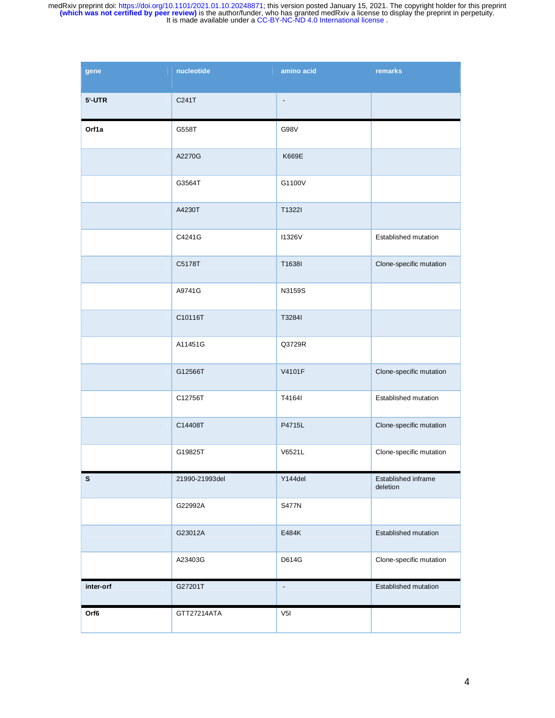| gene        | nucleotide     | amino acid               | remarks                         |
|-------------|----------------|--------------------------|---------------------------------|
| 5'-UTR      | C241T          | $\overline{\phantom{a}}$ |                                 |
| Orf1a       | G558T          | G98V                     |                                 |
|             | A2270G         | K669E                    |                                 |
|             | G3564T         | G1100V                   |                                 |
|             | A4230T         | T1322I                   |                                 |
|             | C4241G         | <b>I1326V</b>            | Established mutation            |
|             | C5178T         | T1638I                   | Clone-specific mutation         |
|             | A9741G         | N3159S                   |                                 |
|             | C10116T        | T3284I                   |                                 |
|             | A11451G        | Q3729R                   |                                 |
|             | G12566T        | V4101F                   | Clone-specific mutation         |
|             | C12756T        | T4164I                   | Established mutation            |
|             | C14408T        | P4715L                   | Clone-specific mutation         |
|             | G19825T        | V6521L                   | Clone-specific mutation         |
| $\mathbb S$ | 21990-21993del | Y144del                  | Established inframe<br>deletion |
|             | G22992A        | <b>S477N</b>             |                                 |
|             | G23012A        | E484K                    | Established mutation            |
|             | A23403G        | D614G                    | Clone-specific mutation         |
| inter-orf   | G27201T        | $\overline{\phantom{a}}$ | Established mutation            |
| Orf6        | GTT27214ATA    | V <sub>5</sub>           |                                 |